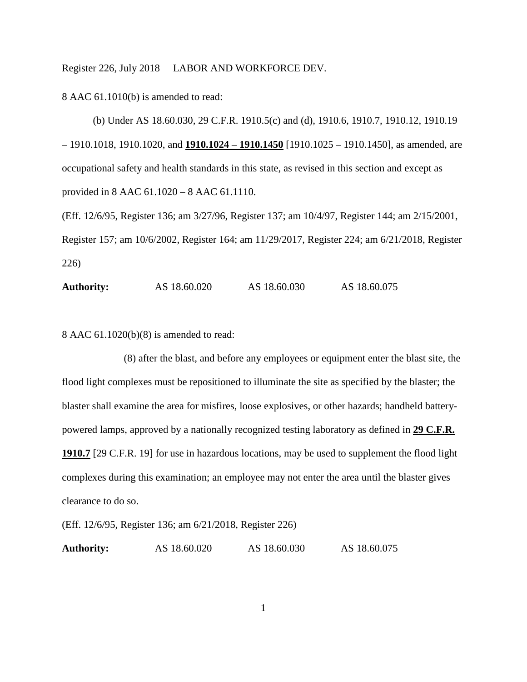Register 226, July 2018 LABOR AND WORKFORCE DEV.

8 AAC 61.1010(b) is amended to read:

(b) Under AS 18.60.030, 29 C.F.R. 1910.5(c) and (d), 1910.6, 1910.7, 1910.12, 1910.19 – 1910.1018, 1910.1020, and **1910.1024** – **1910.1450** [1910.1025 – 1910.1450], as amended, are occupational safety and health standards in this state, as revised in this section and except as provided in 8 AAC 61.1020 – 8 AAC 61.1110.

(Eff. 12/6/95, Register 136; am 3/27/96, Register 137; am 10/4/97, Register 144; am 2/15/2001, Register 157; am 10/6/2002, Register 164; am 11/29/2017, Register 224; am 6/21/2018, Register 226)

**Authority:** AS 18.60.020 AS 18.60.030 AS 18.60.075

8 AAC 61.1020(b)(8) is amended to read:

(8) after the blast, and before any employees or equipment enter the blast site, the flood light complexes must be repositioned to illuminate the site as specified by the blaster; the blaster shall examine the area for misfires, loose explosives, or other hazards; handheld batterypowered lamps, approved by a nationally recognized testing laboratory as defined in **29 C.F.R. 1910.7** [29 C.F.R. 19] for use in hazardous locations, may be used to supplement the flood light complexes during this examination; an employee may not enter the area until the blaster gives clearance to do so.

(Eff. 12/6/95, Register 136; am 6/21/2018, Register 226)

**Authority:** AS 18.60.020 AS 18.60.030 AS 18.60.075

1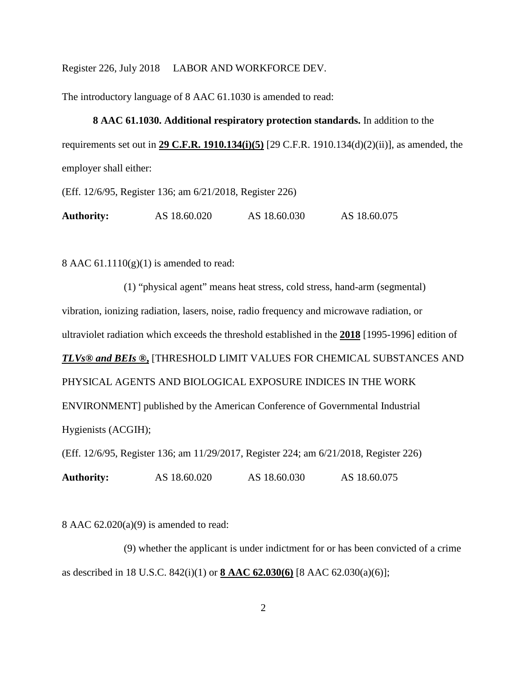Register 226, July 2018 LABOR AND WORKFORCE DEV.

The introductory language of 8 AAC 61.1030 is amended to read:

## **8 AAC 61.1030. Additional respiratory protection standards.** In addition to the

requirements set out in **29 C.F.R. 1910.134(i)(5)** [29 C.F.R. 1910.134(d)(2)(ii)], as amended, the employer shall either:

(Eff. 12/6/95, Register 136; am 6/21/2018, Register 226)

| AS 18.60.075<br>AS 18.60.020<br>AS 18.60.030<br><b>Authority:</b> |
|-------------------------------------------------------------------|
|-------------------------------------------------------------------|

8 AAC  $61.1110(g)(1)$  is amended to read:

(1) "physical agent" means heat stress, cold stress, hand-arm (segmental) vibration, ionizing radiation, lasers, noise, radio frequency and microwave radiation, or ultraviolet radiation which exceeds the threshold established in the **2018** [1995-1996] edition of *TLVs® and BEIs ®***,** [THRESHOLD LIMIT VALUES FOR CHEMICAL SUBSTANCES AND PHYSICAL AGENTS AND BIOLOGICAL EXPOSURE INDICES IN THE WORK ENVIRONMENT] published by the American Conference of Governmental Industrial Hygienists (ACGIH); (Eff. 12/6/95, Register 136; am 11/29/2017, Register 224; am 6/21/2018, Register 226)

**Authority:** AS 18.60.020 AS 18.60.030 AS 18.60.075

8 AAC 62.020(a)(9) is amended to read:

(9) whether the applicant is under indictment for or has been convicted of a crime as described in 18 U.S.C. 842(i)(1) or **8 AAC 62.030(6)** [8 AAC 62.030(a)(6)];